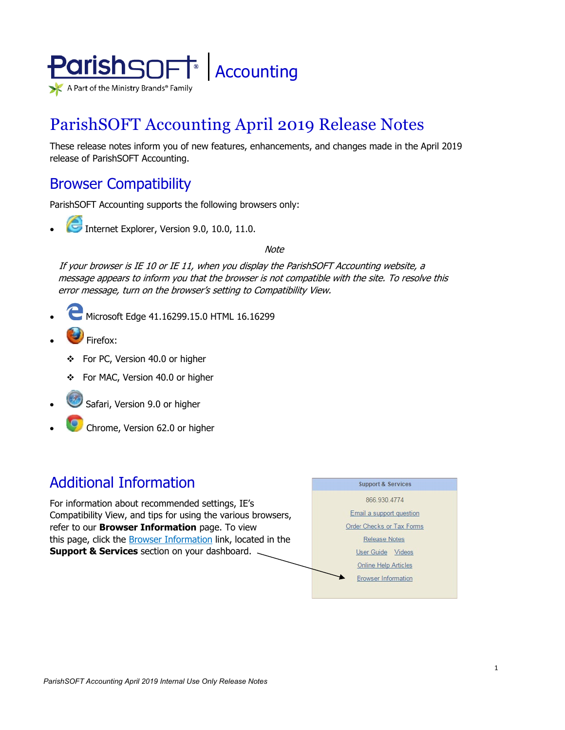

# ParishSOFT Accounting April 2019 Release Notes

These release notes inform you of new features, enhancements, and changes made in the April 2019 release of ParishSOFT Accounting.

## Browser Compatibility

ParishSOFT Accounting supports the following browsers only:

**• Internet Explorer, Version 9.0, 10.0, 11.0.** 

**Note** 

If your browser is IE 10 or IE 11, when you display the ParishSOFT Accounting website, a message appears to inform you that the browser is not compatible with the site. To resolve this error message, turn on the browser's setting to Compatibility View.

- Microsoft Edge 41.16299.15.0 HTML 16.16299
- Firefox:
	- For PC, Version 40.0 or higher
	- For MAC, Version 40.0 or higher
- Safari, Version 9.0 or higher
- Chrome, Version 62.0 or higher

## Additional Information

For information about recommended settings, IE's Compatibility View, and tips for using the various browsers, refer to our **Browser Information** page. To view this page, click the Browser Information link, located in the **Support & Services** section on your dashboard.

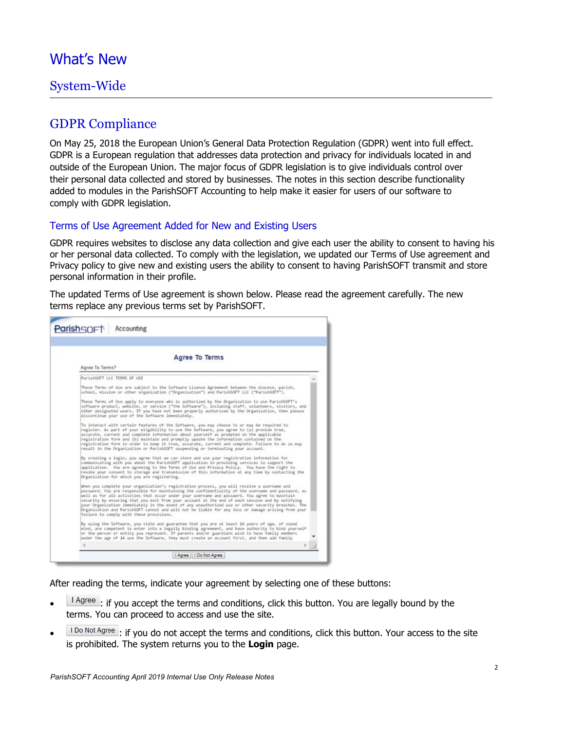## What's New

### System-Wide

### GDPR Compliance

On May 25, 2018 the European Union's General Data Protection Regulation (GDPR) went into full effect. GDPR is a European regulation that addresses data protection and privacy for individuals located in and outside of the European Union. The major focus of GDPR legislation is to give individuals control over their personal data collected and stored by businesses. The notes in this section describe functionality added to modules in the ParishSOFT Accounting to help make it easier for users of our software to comply with GDPR legislation.

#### Terms of Use Agreement Added for New and Existing Users

GDPR requires websites to disclose any data collection and give each user the ability to consent to having his or her personal data collected. To comply with the legislation, we updated our Terms of Use agreement and Privacy policy to give new and existing users the ability to consent to having ParishSOFT transmit and store personal information in their profile.

The updated Terms of Use agreement is shown below. Please read the agreement carefully. The new terms replace any previous terms set by ParishSOFT.

| Agree To Terms                                                                                                                                                                                                                                                                                                                                                                                                                                                                                                                                                                                                                                                 |  |  |  |
|----------------------------------------------------------------------------------------------------------------------------------------------------------------------------------------------------------------------------------------------------------------------------------------------------------------------------------------------------------------------------------------------------------------------------------------------------------------------------------------------------------------------------------------------------------------------------------------------------------------------------------------------------------------|--|--|--|
| Agree To Terms?                                                                                                                                                                                                                                                                                                                                                                                                                                                                                                                                                                                                                                                |  |  |  |
| ParishSOFT LLC TERMS OF USE                                                                                                                                                                                                                                                                                                                                                                                                                                                                                                                                                                                                                                    |  |  |  |
| These Terms of Use are subject to the Software License Agreement between the diocese, parish,<br>school, mission or other organization ("Organization") and ParishSOFT LLC ("ParishSOFT").                                                                                                                                                                                                                                                                                                                                                                                                                                                                     |  |  |  |
| These Terms of Use apply to everyone who is authorized by the Organization to use Parish6OFT's<br>software product, website, or service ("the Software"), including staff, volunteers, visitors, and<br>other designated users. If you have not been properly authorized by the Organization, then please<br>discontinue your use of the Software immediately.                                                                                                                                                                                                                                                                                                 |  |  |  |
| To interact with certain features of the Software, you may choose to or may be required to<br>register. As part of your eligibility to use the Software, you agree to (a) provide true,<br>accurate, current and complete information about yourself as prompted on the applicable<br>registration form and (b) maintain and promptly update the information contained on the<br>registration form in order to keep it true, accurate, current and complete. Failure to do so may<br>result in the Organization or ParishSOFT suspending or terminating your account.                                                                                          |  |  |  |
| By creating a login, you agree that we can store and use your registration information for<br>communicating with you about the ParishSOFT application in providing services to support the<br>application. You are agreeing to the Terms of Use and Privacy Policy. You have the right to<br>revoke your consent to storage and transmission of this information at any time by contacting the<br>Organization for which you are registering.                                                                                                                                                                                                                  |  |  |  |
| When you complete your organization's registration process, you will receive a username and<br>password. You are responsible for maintaining the confidentiality of the username and password, as<br>well as for all activities that occur under your username and password. You agree to maintain<br>security by ensuring that you exit from your account at the end of each session and by notifying<br>your Organization immediately in the event of any unauthorized use or other security breaches. The<br>Organization and ParishSOFT cannot and will not be liable for any loss or damage arising from your<br>failure to comply with these provisions. |  |  |  |
| By using the Software, you state and guarantee that you are at least 14 years of age, of sound<br>mind, are competent to enter into a legally binding agreement, and have authority to bind yourself<br>or the person or entity you represent. If parents and/or guardians wish to have family members<br>under the age of 14 use the Software, they must create an account first, and then add family                                                                                                                                                                                                                                                         |  |  |  |
|                                                                                                                                                                                                                                                                                                                                                                                                                                                                                                                                                                                                                                                                |  |  |  |

After reading the terms, indicate your agreement by selecting one of these buttons:

- $\frac{1 \text{ Agree}}{1 \text{ g}}$ : if you accept the terms and conditions, click this button. You are legally bound by the terms. You can proceed to access and use the site.
- I Do Not Agree : if you do not accept the terms and conditions, click this button. Your access to the site is prohibited. The system returns you to the **Login** page.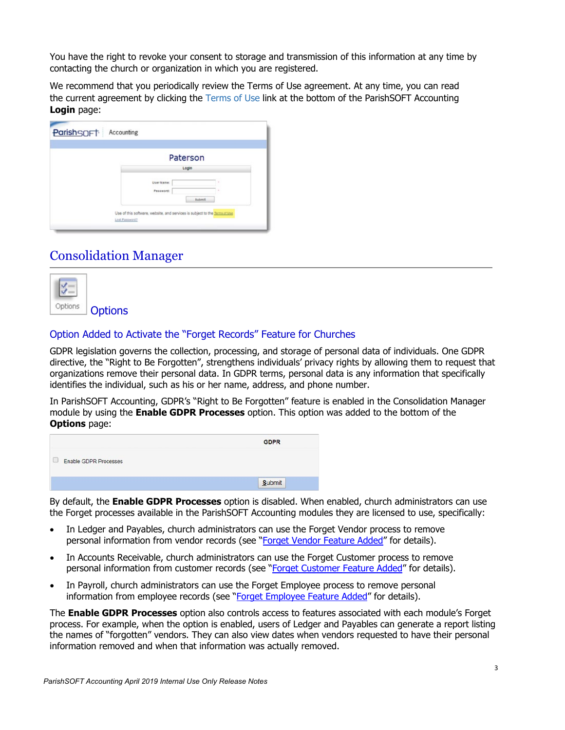You have the right to revoke your consent to storage and transmission of this information at any time by contacting the church or organization in which you are registered.

We recommend that you periodically review the Terms of Use agreement. At any time, you can read the current agreement by clicking the Terms of Use link at the bottom of the ParishSOFT Accounting **Login** page:

| Login                   |        |
|-------------------------|--------|
| User Name:<br>Password: | ٠<br>٠ |

### Consolidation Manager



### Option Added to Activate the "Forget Records" Feature for Churches

GDPR legislation governs the collection, processing, and storage of personal data of individuals. One GDPR directive, the "Right to Be Forgotten", strengthens individuals' privacy rights by allowing them to request that organizations remove their personal data. In GDPR terms, personal data is any information that specifically identifies the individual, such as his or her name, address, and phone number.

In ParishSOFT Accounting, GDPR's "Right to Be Forgotten" feature is enabled in the Consolidation Manager module by using the **Enable GDPR Processes** option. This option was added to the bottom of the **Options** page:

|                                    | <b>GDPR</b> |
|------------------------------------|-------------|
| <b>Enable GDPR Processes</b><br>u. |             |
|                                    | Submit      |

By default, the **Enable GDPR Processes** option is disabled. When enabled, church administrators can use the Forget processes available in the ParishSOFT Accounting modules they are licensed to use, specifically:

- In Ledger and Payables, church administrators can use the Forget Vendor process to remove personal information from vendor records (see ["Forget Vendor Feature Added"](#page-5-0) for details).
- In Accounts Receivable, church administrators can use the Forget Customer process to remove personal information from customer records (see ["Forget Customer Feature Added"](#page-7-0) for details).
- In Payroll, church administrators can use the Forget Employee process to remove personal information from employee records (see ["Forget Employee Feature Added"](#page-9-0) for details).

The **Enable GDPR Processes** option also controls access to features associated with each module's Forget process. For example, when the option is enabled, users of Ledger and Payables can generate a report listing the names of "forgotten" vendors. They can also view dates when vendors requested to have their personal information removed and when that information was actually removed.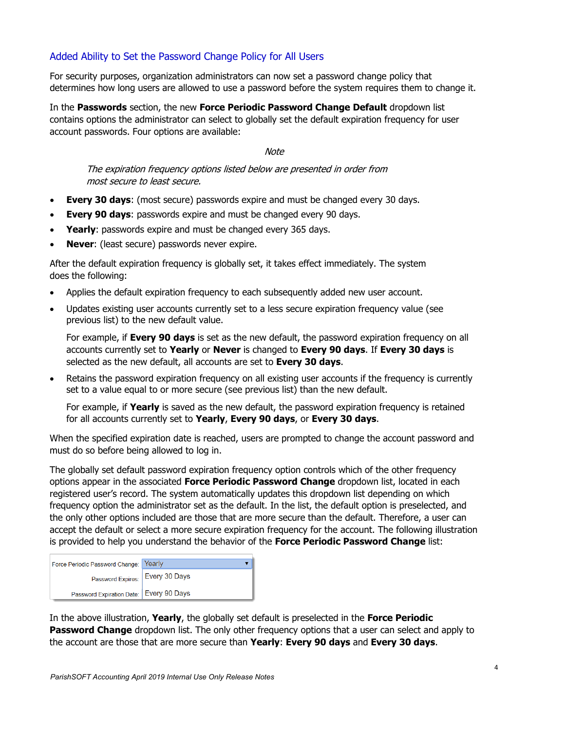### Added Ability to Set the Password Change Policy for All Users

For security purposes, organization administrators can now set a password change policy that determines how long users are allowed to use a password before the system requires them to change it.

In the **Passwords** section, the new **Force Periodic Password Change Default** dropdown list contains options the administrator can select to globally set the default expiration frequency for user account passwords. Four options are available:

**Note** 

The expiration frequency options listed below are presented in order from most secure to least secure.

- **Every 30 days**: (most secure) passwords expire and must be changed every 30 days.
- **Every 90 days:** passwords expire and must be changed every 90 days.
- **Yearly:** passwords expire and must be changed every 365 days.
- **Never:** (least secure) passwords never expire.

After the default expiration frequency is globally set, it takes effect immediately. The system does the following:

- Applies the default expiration frequency to each subsequently added new user account.
- Updates existing user accounts currently set to a less secure expiration frequency value (see previous list) to the new default value.

For example, if **Every 90 days** is set as the new default, the password expiration frequency on all accounts currently set to **Yearly** or **Never** is changed to **Every 90 days**. If **Every 30 days** is selected as the new default, all accounts are set to **Every 30 days**.

• Retains the password expiration frequency on all existing user accounts if the frequency is currently set to a value equal to or more secure (see previous list) than the new default.

For example, if **Yearly** is saved as the new default, the password expiration frequency is retained for all accounts currently set to **Yearly**, **Every 90 days**, or **Every 30 days**.

When the specified expiration date is reached, users are prompted to change the account password and must do so before being allowed to log in.

The globally set default password expiration frequency option controls which of the other frequency options appear in the associated **Force Periodic Password Change** dropdown list, located in each registered user's record. The system automatically updates this dropdown list depending on which frequency option the administrator set as the default. In the list, the default option is preselected, and the only other options included are those that are more secure than the default. Therefore, a user can accept the default or select a more secure expiration frequency for the account. The following illustration is provided to help you understand the behavior of the **Force Periodic Password Change** list:

| Force Periodic Password Change: Yearly    |  |
|-------------------------------------------|--|
| Password Expires:   Every 30 Days         |  |
| Password Expiration Date:   Every 90 Days |  |

In the above illustration, **Yearly**, the globally set default is preselected in the **Force Periodic Password Change** dropdown list. The only other frequency options that a user can select and apply to the account are those that are more secure than **Yearly**: **Every 90 days** and **Every 30 days**.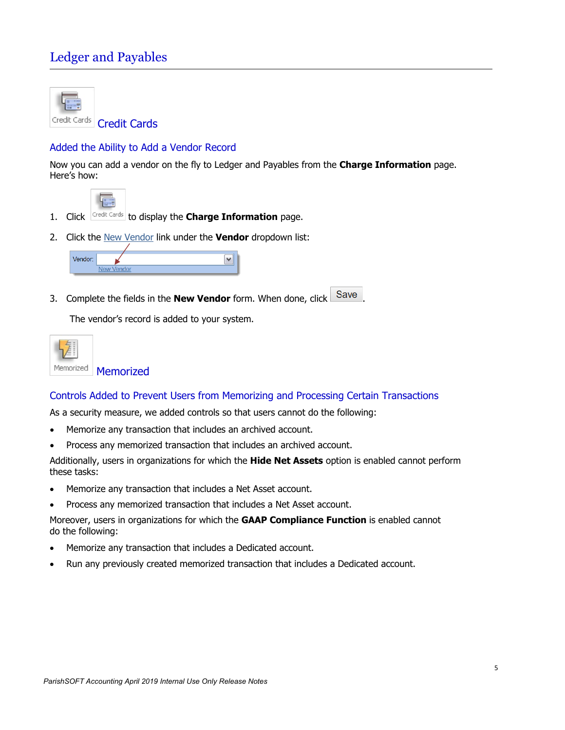## Ledger and Payables



Credit Cards Credit Cards

### Added the Ability to Add a Vendor Record

Now you can add a vendor on the fly to Ledger and Payables from the **Charge Information** page. Here's how:



- 1. Click Credit Cards to display the **Charge Information** page.
- 2. Click the New Vendor link under the **Vendor** dropdown list:



3. Complete the fields in the **New Vendor** form. When done, click Save

The vendor's record is added to your system.



## Controls Added to Prevent Users from Memorizing and Processing Certain Transactions

As a security measure, we added controls so that users cannot do the following:

- Memorize any transaction that includes an archived account.
- Process any memorized transaction that includes an archived account.

Additionally, users in organizations for which the **Hide Net Assets** option is enabled cannot perform these tasks:

- Memorize any transaction that includes a Net Asset account.
- Process any memorized transaction that includes a Net Asset account.

Moreover, users in organizations for which the **GAAP Compliance Function** is enabled cannot do the following:

- Memorize any transaction that includes a Dedicated account.
- Run any previously created memorized transaction that includes a Dedicated account.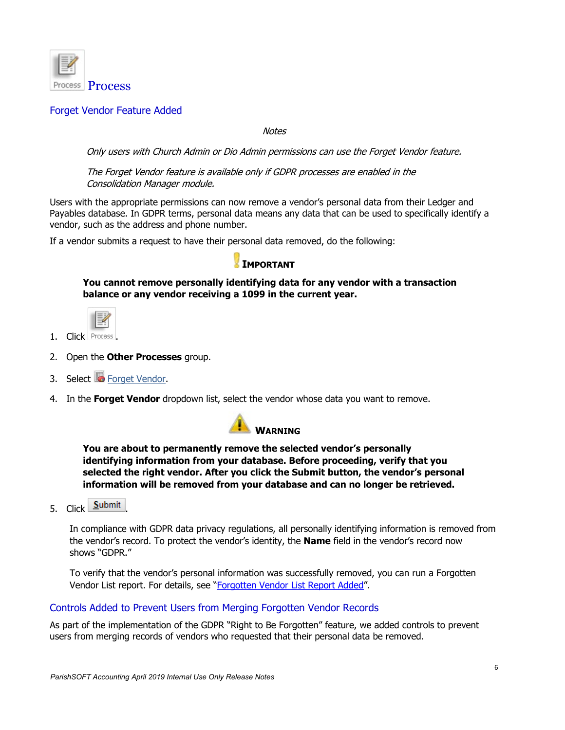

#### <span id="page-5-0"></span>Forget Vendor Feature Added

**Notes** 

Only users with Church Admin or Dio Admin permissions can use the Forget Vendor feature.

The Forget Vendor feature is available only if GDPR processes are enabled in the Consolidation Manager module.

Users with the appropriate permissions can now remove a vendor's personal data from their Ledger and Payables database. In GDPR terms, personal data means any data that can be used to specifically identify a vendor, such as the address and phone number.

If a vendor submits a request to have their personal data removed, do the following:

### **IMPORTANT**

**You cannot remove personally identifying data for any vendor with a transaction balance or any vendor receiving a 1099 in the current year.** 



- 1. Click Process
- 2. Open the **Other Processes** group.
- 3. Select **Forget Vendor.**
- 4. In the **Forget Vendor** dropdown list, select the vendor whose data you want to remove.



**You are about to permanently remove the selected vendor's personally identifying information from your database. Before proceeding, verify that you selected the right vendor. After you click the Submit button, the vendor's personal information will be removed from your database and can no longer be retrieved.**

5. Click **Submit** 

In compliance with GDPR data privacy regulations, all personally identifying information is removed from the vendor's record. To protect the vendor's identity, the **Name** field in the vendor's record now shows "GDPR."

To verify that the vendor's personal information was successfully removed, you can run a Forgotten Vendor List report. For details, see ["Forgotten Vendor List Report Added"](#page-6-0).

#### Controls Added to Prevent Users from Merging Forgotten Vendor Records

As part of the implementation of the GDPR "Right to Be Forgotten" feature, we added controls to prevent users from merging records of vendors who requested that their personal data be removed.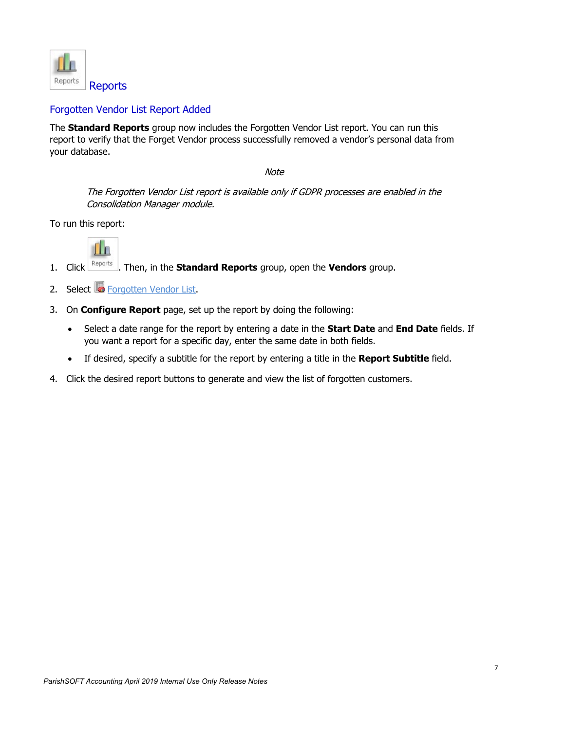

### <span id="page-6-0"></span>Forgotten Vendor List Report Added

The **Standard Reports** group now includes the Forgotten Vendor List report. You can run this report to verify that the Forget Vendor process successfully removed a vendor's personal data from your database.

**Note** 

The Forgotten Vendor List report is available only if GDPR processes are enabled in the Consolidation Manager module.

To run this report:



- 1. Click . Then, in the **Standard Reports** group, open the **Vendors** group.
- 2. Select **C** Forgotten Vendor List.
- 3. On **Configure Report** page, set up the report by doing the following:
	- Select a date range for the report by entering a date in the **Start Date** and **End Date** fields. If you want a report for a specific day, enter the same date in both fields.
	- If desired, specify a subtitle for the report by entering a title in the **Report Subtitle** field.
- 4. Click the desired report buttons to generate and view the list of forgotten customers.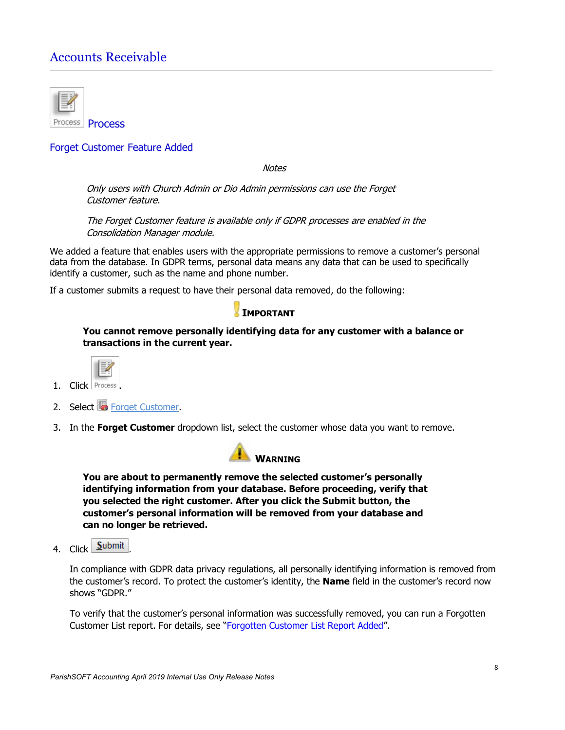## Accounts Receivable



#### <span id="page-7-0"></span>Forget Customer Feature Added

**Notes** 

Only users with Church Admin or Dio Admin permissions can use the Forget Customer feature.

The Forget Customer feature is available only if GDPR processes are enabled in the Consolidation Manager module.

We added a feature that enables users with the appropriate permissions to remove a customer's personal data from the database. In GDPR terms, personal data means any data that can be used to specifically identify a customer, such as the name and phone number.

If a customer submits a request to have their personal data removed, do the following:

#### **IMPORTANT**

**You cannot remove personally identifying data for any customer with a balance or transactions in the current year.** 



- 1. Click Process
- 2. Select **Forget Customer**.
- 3. In the **Forget Customer** dropdown list, select the customer whose data you want to remove.



**You are about to permanently remove the selected customer's personally identifying information from your database. Before proceeding, verify that you selected the right customer. After you click the Submit button, the customer's personal information will be removed from your database and can no longer be retrieved.**

4. Click **Submit** 

In compliance with GDPR data privacy regulations, all personally identifying information is removed from the customer's record. To protect the customer's identity, the **Name** field in the customer's record now shows "GDPR."

To verify that the customer's personal information was successfully removed, you can run a Forgotten Customer List report. For details, see "Forgotten Customer List Report Added".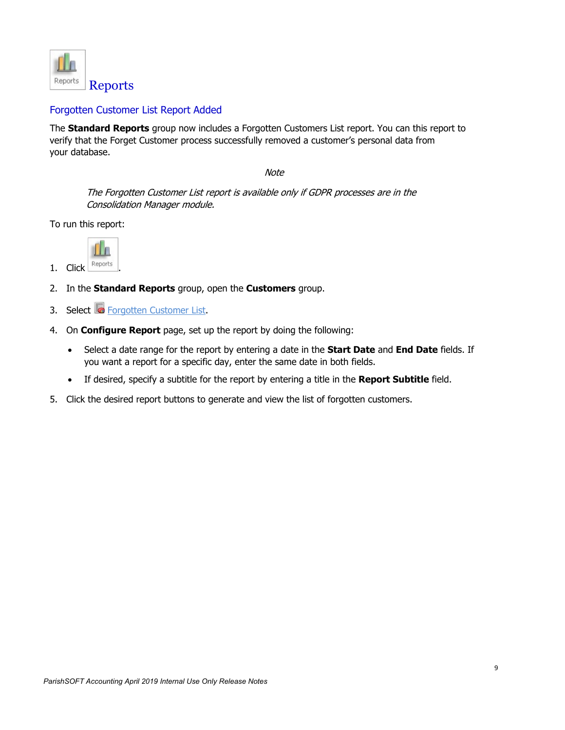

#### Forgotten Customer List Report Added

The **Standard Reports** group now includes a Forgotten Customers List report. You can this report to verify that the Forget Customer process successfully removed a customer's personal data from your database.

**Note** 

The Forgotten Customer List report is available only if GDPR processes are in the Consolidation Manager module.

To run this report:



- 2. In the **Standard Reports** group, open the **Customers** group.
- 3. Select **Forgotten Customer List.**
- 4. On **Configure Report** page, set up the report by doing the following:
	- Select a date range for the report by entering a date in the **Start Date** and **End Date** fields. If you want a report for a specific day, enter the same date in both fields.
	- If desired, specify a subtitle for the report by entering a title in the **Report Subtitle** field.
- 5. Click the desired report buttons to generate and view the list of forgotten customers.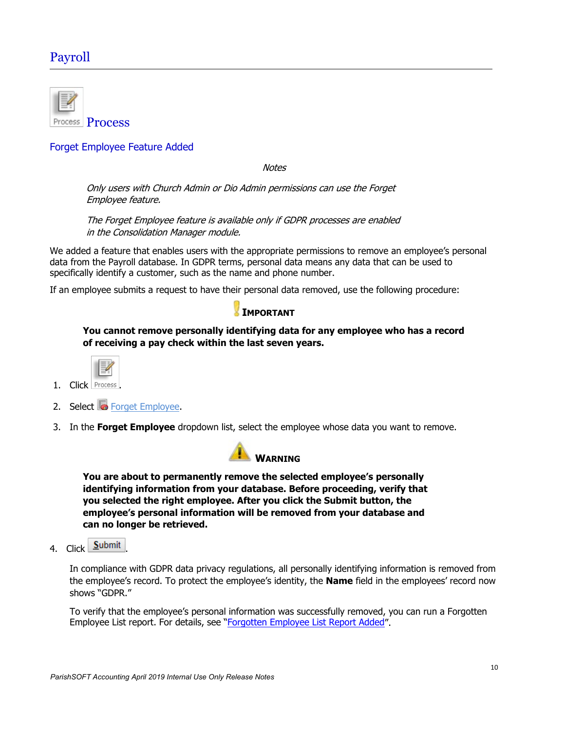## Payroll



#### <span id="page-9-0"></span>Forget Employee Feature Added

**Notes** 

Only users with Church Admin or Dio Admin permissions can use the Forget Employee feature.

The Forget Employee feature is available only if GDPR processes are enabled in the Consolidation Manager module.

We added a feature that enables users with the appropriate permissions to remove an employee's personal data from the Payroll database. In GDPR terms, personal data means any data that can be used to specifically identify a customer, such as the name and phone number.

If an employee submits a request to have their personal data removed, use the following procedure:

### **IMPORTANT**

**You cannot remove personally identifying data for any employee who has a record of receiving a pay check within the last seven years.** 



- 1. Click Proces
- 2. Select **C** Forget Employee.
- 3. In the **Forget Employee** dropdown list, select the employee whose data you want to remove.



**You are about to permanently remove the selected employee's personally identifying information from your database. Before proceeding, verify that you selected the right employee. After you click the Submit button, the employee's personal information will be removed from your database and can no longer be retrieved.**

4. Click Submit

In compliance with GDPR data privacy regulations, all personally identifying information is removed from the employee's record. To protect the employee's identity, the **Name** field in the employees' record now shows "GDPR."

To verify that the employee's personal information was successfully removed, you can run a Forgotten Employee List report. For details, see ["Forgotten Employee List Report Added"](#page-10-0).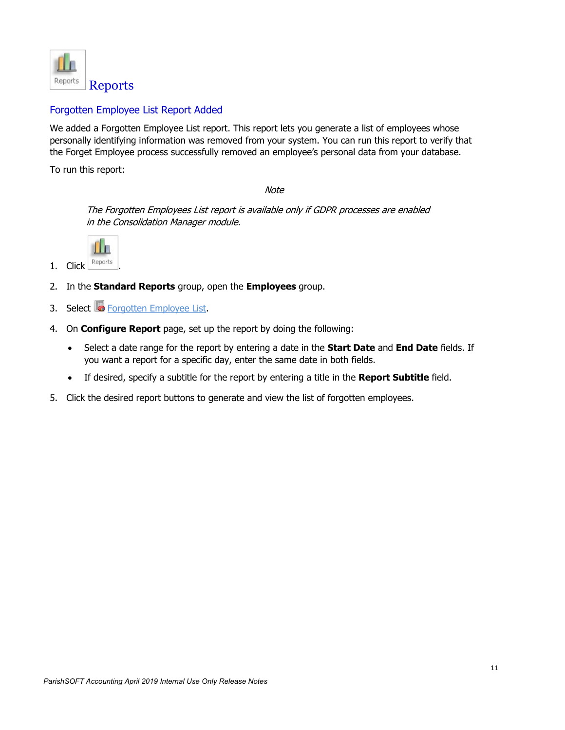

### <span id="page-10-0"></span>Forgotten Employee List Report Added

We added a Forgotten Employee List report. This report lets you generate a list of employees whose personally identifying information was removed from your system. You can run this report to verify that the Forget Employee process successfully removed an employee's personal data from your database.

To run this report:

**Note** 

The Forgotten Employees List report is available only if GDPR processes are enabled in the Consolidation Manager module.



- 1.  $Click$  Reports
- 2. In the **Standard Reports** group, open the **Employees** group.
- 3. Select **G** Forgotten Employee List.
- 4. On **Configure Report** page, set up the report by doing the following:
	- Select a date range for the report by entering a date in the **Start Date** and **End Date** fields. If you want a report for a specific day, enter the same date in both fields.
	- If desired, specify a subtitle for the report by entering a title in the **Report Subtitle** field.
- 5. Click the desired report buttons to generate and view the list of forgotten employees.